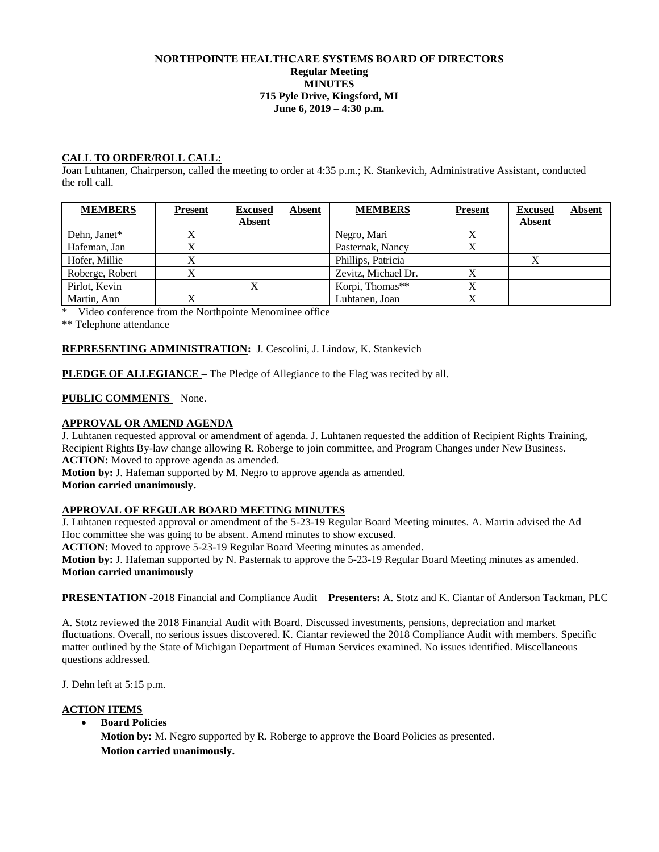## NORTHPOINTE HEALTHCARE SYSTEMS BOARD OF DIRECTORS **Regular Meeting MINUTES 715 Pyle Drive, Kingsford, MI June 6, 2019 – 4:30 p.m.**

## **CALL TO ORDER/ROLL CALL:**

Joan Luhtanen, Chairperson, called the meeting to order at 4:35 p.m.; K. Stankevich, Administrative Assistant, conducted the roll call.

| <b>MEMBERS</b>  | <b>Present</b> | <b>Excused</b><br><b>Absent</b> | <b>Absent</b> | <b>MEMBERS</b>      | <b>Present</b> | <b>Excused</b><br><b>Absent</b> | <b>Absent</b> |
|-----------------|----------------|---------------------------------|---------------|---------------------|----------------|---------------------------------|---------------|
| Dehn, Janet*    |                |                                 |               | Negro, Mari         |                |                                 |               |
| Hafeman, Jan    |                |                                 |               | Pasternak, Nancy    |                |                                 |               |
| Hofer, Millie   |                |                                 |               | Phillips, Patricia  |                |                                 |               |
| Roberge, Robert |                |                                 |               | Zevitz, Michael Dr. |                |                                 |               |
| Pirlot, Kevin   |                |                                 |               | Korpi, Thomas**     |                |                                 |               |
| Martin, Ann     |                |                                 |               | Luhtanen. Joan      |                |                                 |               |

\* Video conference from the Northpointe Menominee office

\*\* Telephone attendance

# **REPRESENTING ADMINISTRATION:** J. Cescolini, J. Lindow, K. Stankevich

**PLEDGE OF ALLEGIANCE** – The Pledge of Allegiance to the Flag was recited by all.

# **PUBLIC COMMENTS** – None.

## **APPROVAL OR AMEND AGENDA**

J. Luhtanen requested approval or amendment of agenda. J. Luhtanen requested the addition of Recipient Rights Training, Recipient Rights By-law change allowing R. Roberge to join committee, and Program Changes under New Business. **ACTION:** Moved to approve agenda as amended.

**Motion by:** J. Hafeman supported by M. Negro to approve agenda as amended.

**Motion carried unanimously.**

## **APPROVAL OF REGULAR BOARD MEETING MINUTES**

J. Luhtanen requested approval or amendment of the 5-23-19 Regular Board Meeting minutes. A. Martin advised the Ad Hoc committee she was going to be absent. Amend minutes to show excused.

**ACTION:** Moved to approve 5-23-19 Regular Board Meeting minutes as amended.

**Motion by:** J. Hafeman supported by N. Pasternak to approve the 5-23-19 Regular Board Meeting minutes as amended. **Motion carried unanimously**

**PRESENTATION -**2018 Financial and Compliance Audit **Presenters:** A. Stotz and K. Ciantar of Anderson Tackman, PLC

A. Stotz reviewed the 2018 Financial Audit with Board. Discussed investments, pensions, depreciation and market fluctuations. Overall, no serious issues discovered. K. Ciantar reviewed the 2018 Compliance Audit with members. Specific matter outlined by the State of Michigan Department of Human Services examined. No issues identified. Miscellaneous questions addressed.

J. Dehn left at 5:15 p.m.

## **ACTION ITEMS**

**Board Policies**

**Motion by:** M. Negro supported by R. Roberge to approve the Board Policies as presented. **Motion carried unanimously.**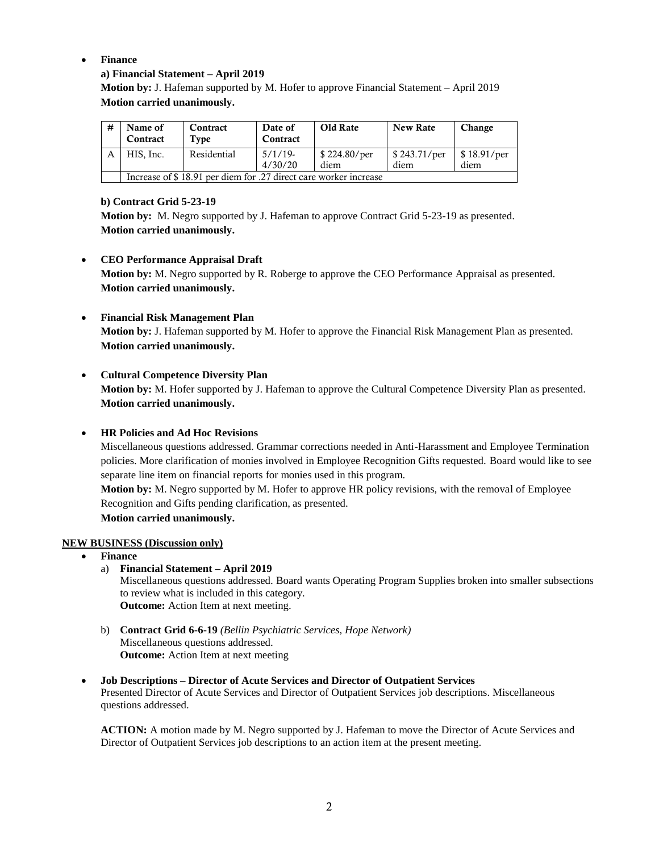# **Finance**

# **a) Financial Statement – April 2019**

**Motion by:** J. Hafeman supported by M. Hofer to approve Financial Statement – April 2019 **Motion carried unanimously.**

| # | Name of<br>Contract                                              | Contract<br>Type | Date of<br>Contract   | Old Rate             | <b>New Rate</b>                     | Change              |  |
|---|------------------------------------------------------------------|------------------|-----------------------|----------------------|-------------------------------------|---------------------|--|
|   | HIS. Inc.                                                        | Residential      | $5/1/19$ -<br>4/30/20 | \$224.80/per<br>diem | $\frac{1}{2}$ \$ 243.71/per<br>diem | \$18.91/per<br>diem |  |
|   | Increase of \$18.91 per diem for .27 direct care worker increase |                  |                       |                      |                                     |                     |  |

## **b) Contract Grid 5-23-19**

**Motion by:** M. Negro supported by J. Hafeman to approve Contract Grid 5-23-19 as presented. **Motion carried unanimously.** 

# **CEO Performance Appraisal Draft**

**Motion by:** M. Negro supported by R. Roberge to approve the CEO Performance Appraisal as presented. **Motion carried unanimously.**

**Financial Risk Management Plan**

**Motion by:** J. Hafeman supported by M. Hofer to approve the Financial Risk Management Plan as presented. **Motion carried unanimously.**

# **Cultural Competence Diversity Plan**

**Motion by:** M. Hofer supported by J. Hafeman to approve the Cultural Competence Diversity Plan as presented. **Motion carried unanimously.** 

## **HR Policies and Ad Hoc Revisions**

Miscellaneous questions addressed. Grammar corrections needed in Anti-Harassment and Employee Termination policies. More clarification of monies involved in Employee Recognition Gifts requested. Board would like to see separate line item on financial reports for monies used in this program.

**Motion by:** M. Negro supported by M. Hofer to approve HR policy revisions, with the removal of Employee Recognition and Gifts pending clarification, as presented.

**Motion carried unanimously.** 

## **NEW BUSINESS (Discussion only)**

- **Finance**
	- a) **Financial Statement – April 2019**

Miscellaneous questions addressed. Board wants Operating Program Supplies broken into smaller subsections to review what is included in this category. **Outcome:** Action Item at next meeting.

- b) **Contract Grid 6-6-19** *(Bellin Psychiatric Services, Hope Network)* Miscellaneous questions addressed. **Outcome:** Action Item at next meeting
- **Job Descriptions – Director of Acute Services and Director of Outpatient Services** Presented Director of Acute Services and Director of Outpatient Services job descriptions. Miscellaneous questions addressed.

**ACTION:** A motion made by M. Negro supported by J. Hafeman to move the Director of Acute Services and Director of Outpatient Services job descriptions to an action item at the present meeting.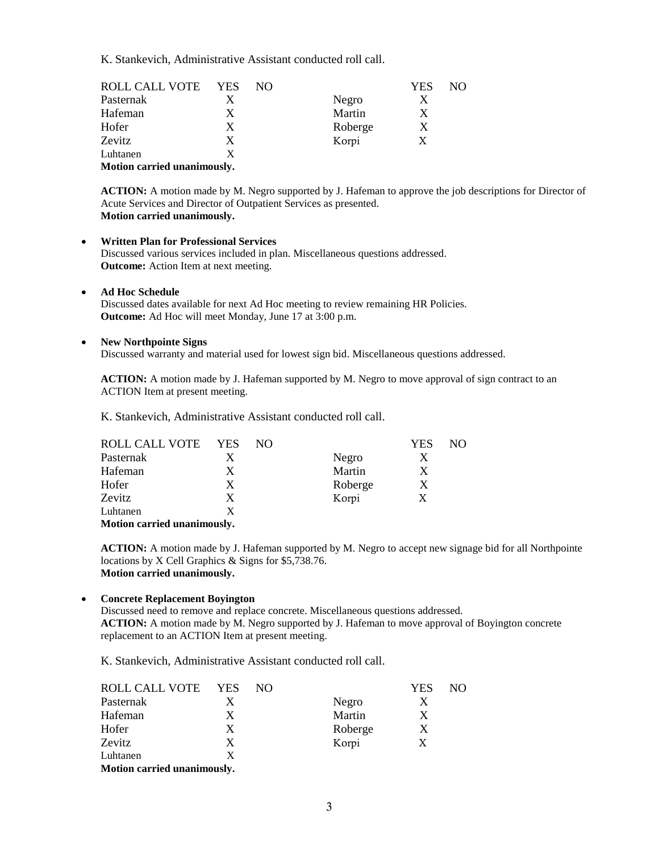K. Stankevich, Administrative Assistant conducted roll call.

| ROLL CALL VOTE | <b>YES</b> | NΟ |         | <b>YES</b> | NO. |
|----------------|------------|----|---------|------------|-----|
| Pasternak      |            |    | Negro   | X          |     |
| Hafeman        | X          |    | Martin  | X          |     |
| Hofer          | X          |    | Roberge | X          |     |
| Zevitz         | X          |    | Korpi   | X          |     |
| Luhtanen       | x          |    |         |            |     |
|                |            |    |         |            |     |

**Motion carried unanimously.** 

**ACTION:** A motion made by M. Negro supported by J. Hafeman to approve the job descriptions for Director of Acute Services and Director of Outpatient Services as presented. **Motion carried unanimously.** 

- **Written Plan for Professional Services** Discussed various services included in plan. Miscellaneous questions addressed. **Outcome:** Action Item at next meeting.
- **Ad Hoc Schedule**

Discussed dates available for next Ad Hoc meeting to review remaining HR Policies. **Outcome:** Ad Hoc will meet Monday, June 17 at 3:00 p.m.

#### **New Northpointe Signs**

Discussed warranty and material used for lowest sign bid. Miscellaneous questions addressed.

**ACTION:** A motion made by J. Hafeman supported by M. Negro to move approval of sign contract to an ACTION Item at present meeting.

K. Stankevich, Administrative Assistant conducted roll call.

| ROLL CALL VOTE | <b>YES</b> | NO. |         | YES | NO. |
|----------------|------------|-----|---------|-----|-----|
| Pasternak      | Х          |     | Negro   |     |     |
| Hafeman        | X          |     | Martin  | X   |     |
| Hofer          | X          |     | Roberge | X   |     |
| Zevitz         | X          |     | Korpi   | X   |     |
| Luhtanen       | x          |     |         |     |     |
|                |            |     |         |     |     |

**Motion carried unanimously.**

**ACTION:** A motion made by J. Hafeman supported by M. Negro to accept new signage bid for all Northpointe locations by X Cell Graphics & Signs for \$5,738.76. **Motion carried unanimously.** 

# **Concrete Replacement Boyington**

Discussed need to remove and replace concrete. Miscellaneous questions addressed. **ACTION:** A motion made by M. Negro supported by J. Hafeman to move approval of Boyington concrete replacement to an ACTION Item at present meeting.

K. Stankevich, Administrative Assistant conducted roll call.

| ROLL CALL VOTE | <b>YES</b>                  | NO. |         | YES | NO. |  |  |  |
|----------------|-----------------------------|-----|---------|-----|-----|--|--|--|
| Pasternak      | X                           |     | Negro   |     |     |  |  |  |
| Hafeman        | X                           |     | Martin  |     |     |  |  |  |
| Hofer          | X                           |     | Roberge | X   |     |  |  |  |
| Zevitz         | X                           |     | Korpi   | X   |     |  |  |  |
| Luhtanen       | X                           |     |         |     |     |  |  |  |
|                | Motion carried unanimously. |     |         |     |     |  |  |  |